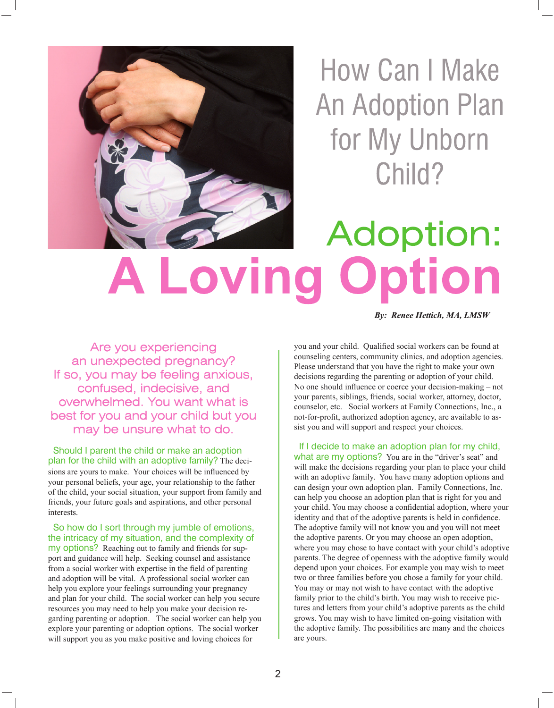

How Can I Make **An Adoption Plan** for My Unborn Child?

## Adoption: Lovin

**By: Renee Hettich, MA, LMSW** 

Are you experiencing an unexpected pregnancy? If so, you may be feeling anxious, confused, indecisive, and overwhelmed. You want what is best for you and your child but you may be unsure what to do.

 Should I parent the child or make an adoption plan for the child with an adoptive family? The decisions are yours to make. Your choices will be influenced by your personal beliefs, your age, your relationship to the father of the child, your social situation, your support from family and friends, your future goals and aspirations, and other personal interests.

 So how do I sort through my jumble of emotions, the intricacy of my situation, and the complexity of my options? Reaching out to family and friends for support and guidance will help. Seeking counsel and assistance from a social worker with expertise in the field of parenting and adoption will be vital. A professional social worker can help you explore your feelings surrounding your pregnancy and plan for your child. The social worker can help you secure resources you may need to help you make your decision regarding parenting or adoption. The social worker can help you explore your parenting or adoption options. The social worker will support you as you make positive and loving choices for

you and your child. Qualified social workers can be found at counseling centers, community clinics, and adoption agencies. Please understand that you have the right to make your own decisions regarding the parenting or adoption of your child. No one should influence or coerce your decision-making – not your parents, siblings, friends, social worker, attorney, doctor, counselor, etc. Social workers at Family Connections, Inc., a not-for-profit, authorized adoption agency, are available to assist you and will support and respect your choices.

 If I decide to make an adoption plan for my child, what are my options? You are in the "driver's seat" and will make the decisions regarding your plan to place your child with an adoptive family. You have many adoption options and can design your own adoption plan. Family Connections, Inc. can help you choose an adoption plan that is right for you and your child. You may choose a confidential adoption, where your identity and that of the adoptive parents is held in confidence. The adoptive family will not know you and you will not meet the adoptive parents. Or you may choose an open adoption, where you may chose to have contact with your child's adoptive parents. The degree of openness with the adoptive family would depend upon your choices. For example you may wish to meet two or three families before you chose a family for your child. You may or may not wish to have contact with the adoptive family prior to the child's birth. You may wish to receive pictures and letters from your child's adoptive parents as the child grows. You may wish to have limited on-going visitation with the adoptive family. The possibilities are many and the choices are yours.